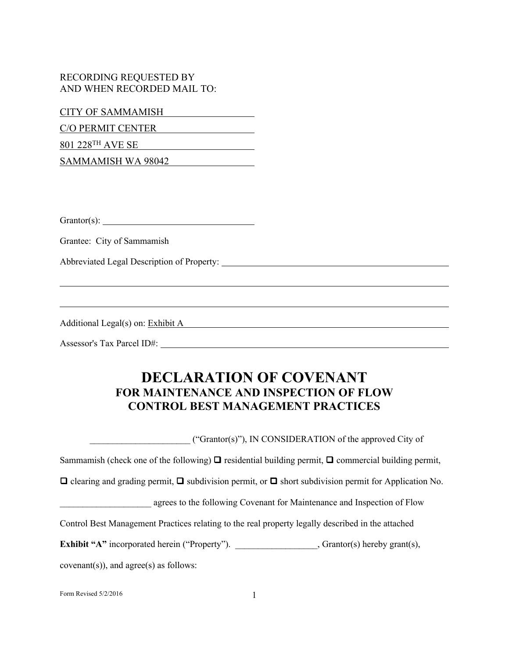## RECORDING REQUESTED BY AND WHEN RECORDED MAIL TO:

CITY OF SAMMAMISH

C/O PERMIT CENTER

801 228TH AVE SE

SAMMAMISH WA 98042

Grantor(s):

Grantee: City of Sammamish

Abbreviated Legal Description of Property:

Additional Legal(s) on: Exhibit A

Assessor's Tax Parcel ID#:

## **DECLARATION OF COVENANT FOR MAINTENANCE AND INSPECTION OF FLOW CONTROL BEST MANAGEMENT PRACTICES**

\_\_\_\_\_\_\_\_\_\_\_\_\_\_\_\_\_\_\_\_\_\_ ("Grantor(s)"), IN CONSIDERATION of the approved City of Sammamish (check one of the following)  $\Box$  residential building permit,  $\Box$  commercial building permit,  $\Box$  clearing and grading permit,  $\Box$  subdivision permit, or  $\Box$  short subdivision permit for Application No. agrees to the following Covenant for Maintenance and Inspection of Flow Control Best Management Practices relating to the real property legally described in the attached **Exhibit** "A" incorporated herein ("Property"). \_\_\_\_\_\_\_\_\_\_\_\_\_\_\_, Grantor(s) hereby grant(s),  $covenant(s)$ , and  $agree(s)$  as follows:

Form Revised  $5/2/2016$  1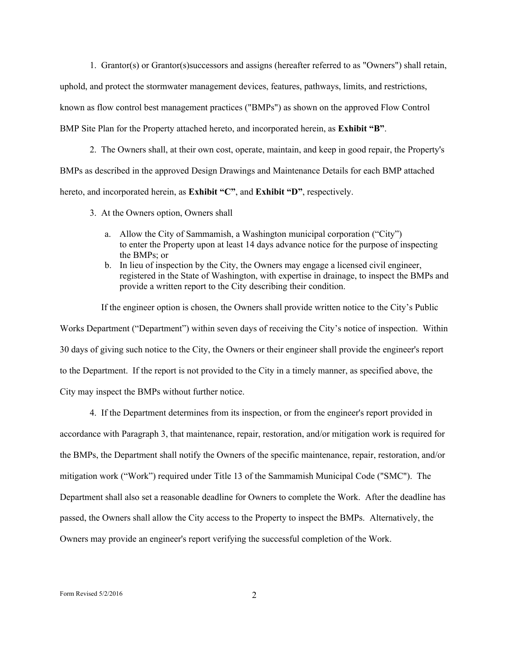1. Grantor(s) or Grantor(s)successors and assigns (hereafter referred to as "Owners") shall retain,

uphold, and protect the stormwater management devices, features, pathways, limits, and restrictions,

known as flow control best management practices ("BMPs") as shown on the approved Flow Control

BMP Site Plan for the Property attached hereto, and incorporated herein, as **Exhibit "B"**.

2. The Owners shall, at their own cost, operate, maintain, and keep in good repair, the Property's

BMPs as described in the approved Design Drawings and Maintenance Details for each BMP attached

hereto, and incorporated herein, as **Exhibit "C"**, and **Exhibit "D"**, respectively.

3. At the Owners option, Owners shall

- a. Allow the City of Sammamish, a Washington municipal corporation ("City") to enter the Property upon at least 14 days advance notice for the purpose of inspecting the BMPs; or
- b. In lieu of inspection by the City, the Owners may engage a licensed civil engineer, registered in the State of Washington, with expertise in drainage, to inspect the BMPs and provide a written report to the City describing their condition.

 If the engineer option is chosen, the Owners shall provide written notice to the City's Public Works Department ("Department") within seven days of receiving the City's notice of inspection. Within 30 days of giving such notice to the City, the Owners or their engineer shall provide the engineer's report to the Department. If the report is not provided to the City in a timely manner, as specified above, the City may inspect the BMPs without further notice.

4. If the Department determines from its inspection, or from the engineer's report provided in accordance with Paragraph 3, that maintenance, repair, restoration, and/or mitigation work is required for the BMPs, the Department shall notify the Owners of the specific maintenance, repair, restoration, and/or mitigation work ("Work") required under Title 13 of the Sammamish Municipal Code ("SMC"). The Department shall also set a reasonable deadline for Owners to complete the Work. After the deadline has passed, the Owners shall allow the City access to the Property to inspect the BMPs. Alternatively, the Owners may provide an engineer's report verifying the successful completion of the Work.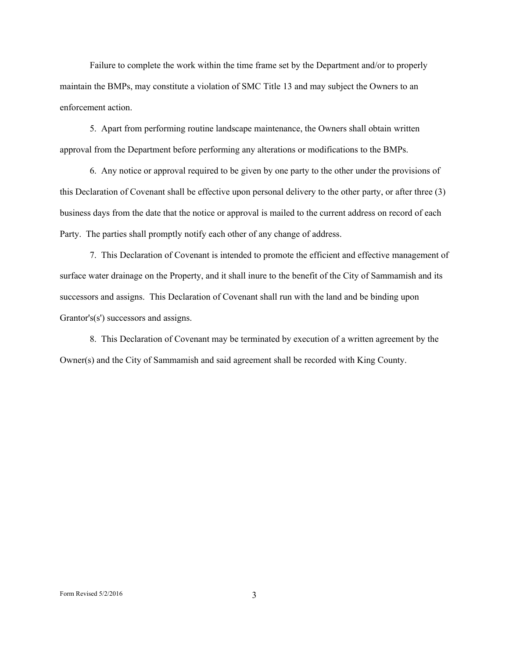Failure to complete the work within the time frame set by the Department and/or to properly maintain the BMPs, may constitute a violation of SMC Title 13 and may subject the Owners to an enforcement action.

5. Apart from performing routine landscape maintenance, the Owners shall obtain written approval from the Department before performing any alterations or modifications to the BMPs.

6. Any notice or approval required to be given by one party to the other under the provisions of this Declaration of Covenant shall be effective upon personal delivery to the other party, or after three (3) business days from the date that the notice or approval is mailed to the current address on record of each Party. The parties shall promptly notify each other of any change of address.

7. This Declaration of Covenant is intended to promote the efficient and effective management of surface water drainage on the Property, and it shall inure to the benefit of the City of Sammamish and its successors and assigns. This Declaration of Covenant shall run with the land and be binding upon Grantor's(s') successors and assigns.

8. This Declaration of Covenant may be terminated by execution of a written agreement by the Owner(s) and the City of Sammamish and said agreement shall be recorded with King County.